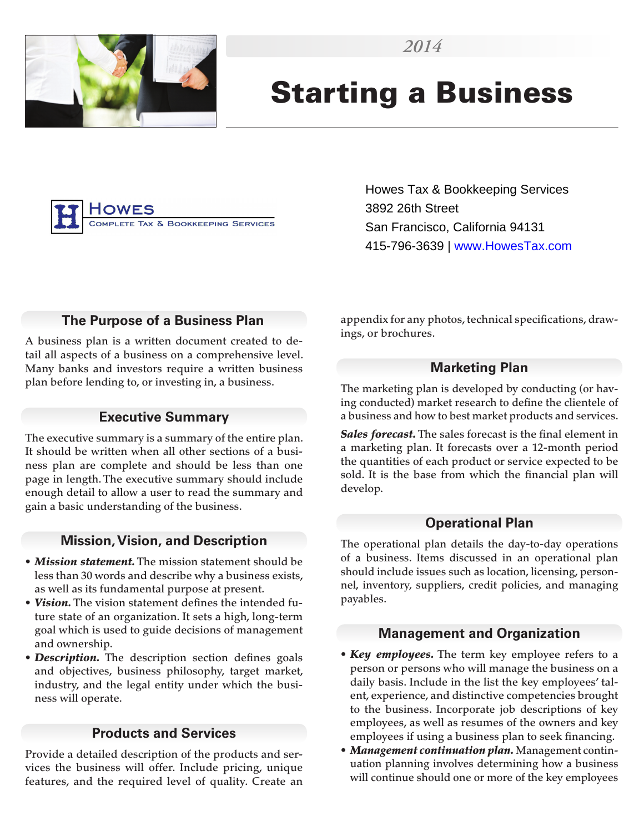

# Starting a Business



Howes Tax & Bookkeeping Services 3892 26th Street San Francisco, California 94131 415-796-3639 | www.HowesTax.com

### **The Purpose of a Business Plan**

A business plan is a written document created to detail all aspects of a business on a comprehensive level. Many banks and investors require a written business plan before lending to, or investing in, a business.

#### **Executive Summary**

The executive summary is a summary of the entire plan. It should be written when all other sections of a business plan are complete and should be less than one page in length. The executive summary should include enough detail to allow a user to read the summary and gain a basic understanding of the business.

#### **Mission, Vision, and Description**

- *Mission statement.* The mission statement should be less than 30 words and describe why a business exists, as well as its fundamental purpose at present.
- *Vision.* The vision statement defines the intended future state of an organization. It sets a high, long-term goal which is used to guide decisions of management and ownership.
- *Description.* The description section defines goals and objectives, business philosophy, target market, industry, and the legal entity under which the business will operate.

#### **Products and Services**

Provide a detailed description of the products and services the business will offer. Include pricing, unique features, and the required level of quality. Create an appendix for any photos, technical specifications, drawings, or brochures.

#### **Marketing Plan**

The marketing plan is developed by conducting (or having conducted) market research to define the clientele of a business and how to best market products and services.

*Sales forecast.* The sales forecast is the final element in a marketing plan. It forecasts over a 12-month period the quantities of each product or service expected to be sold. It is the base from which the financial plan will develop.

#### **Operational Plan**

The operational plan details the day-to-day operations of a business. Items discussed in an operational plan should include issues such as location, licensing, personnel, inventory, suppliers, credit policies, and managing payables.

#### **Management and Organization**

- *Key employees.* The term key employee refers to a person or persons who will manage the business on a daily basis. Include in the list the key employees' talent, experience, and distinctive competencies brought to the business. Incorporate job descriptions of key employees, as well as resumes of the owners and key employees if using a business plan to seek financing.
- *Management continuation plan.* Management continuation planning involves determining how a business will continue should one or more of the key employees